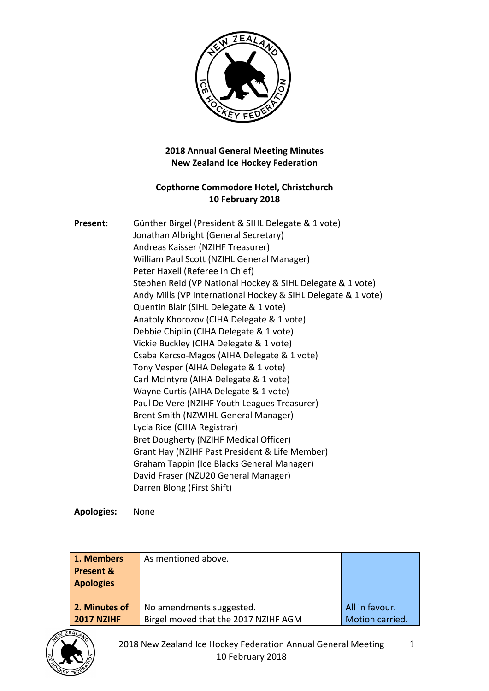

## **2018 Annual General Meeting Minutes New Zealand Ice Hockey Federation**

## **Copthorne Commodore Hotel, Christchurch 10 February 2018**

| Present: | Günther Birgel (President & SIHL Delegate & 1 vote)           |
|----------|---------------------------------------------------------------|
|          | Jonathan Albright (General Secretary)                         |
|          | Andreas Kaisser (NZIHF Treasurer)                             |
|          | William Paul Scott (NZIHL General Manager)                    |
|          | Peter Haxell (Referee In Chief)                               |
|          | Stephen Reid (VP National Hockey & SIHL Delegate & 1 vote)    |
|          | Andy Mills (VP International Hockey & SIHL Delegate & 1 vote) |
|          | Quentin Blair (SIHL Delegate & 1 vote)                        |
|          | Anatoly Khorozov (CIHA Delegate & 1 vote)                     |
|          | Debbie Chiplin (CIHA Delegate & 1 vote)                       |
|          | Vickie Buckley (CIHA Delegate & 1 vote)                       |
|          | Csaba Kercso-Magos (AIHA Delegate & 1 vote)                   |
|          | Tony Vesper (AIHA Delegate & 1 vote)                          |
|          | Carl McIntyre (AIHA Delegate & 1 vote)                        |
|          | Wayne Curtis (AIHA Delegate & 1 vote)                         |
|          | Paul De Vere (NZIHF Youth Leagues Treasurer)                  |
|          | Brent Smith (NZWIHL General Manager)                          |
|          | Lycia Rice (CIHA Registrar)                                   |
|          | Bret Dougherty (NZIHF Medical Officer)                        |
|          | Grant Hay (NZIHF Past President & Life Member)                |
|          | Graham Tappin (Ice Blacks General Manager)                    |
|          | David Fraser (NZU20 General Manager)                          |
|          | Darren Blong (First Shift)                                    |

**Apologies:** None

| 1. Members<br><b>Present &amp;</b><br><b>Apologies</b> | As mentioned above.                  |                 |
|--------------------------------------------------------|--------------------------------------|-----------------|
| 2. Minutes of                                          | No amendments suggested.             | All in favour.  |
| <b>2017 NZIHF</b>                                      | Birgel moved that the 2017 NZIHF AGM | Motion carried. |

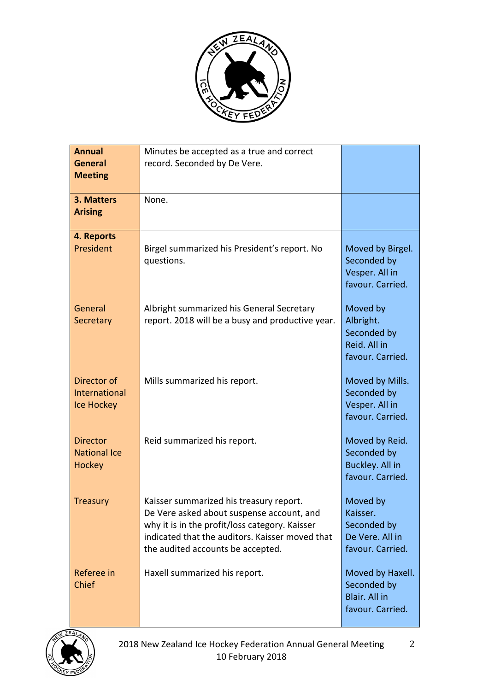

| <b>Annual</b><br><b>General</b><br><b>Meeting</b>        | Minutes be accepted as a true and correct<br>record. Seconded by De Vere.                                                                                                                                                      |                                                                            |
|----------------------------------------------------------|--------------------------------------------------------------------------------------------------------------------------------------------------------------------------------------------------------------------------------|----------------------------------------------------------------------------|
| 3. Matters<br><b>Arising</b>                             | None.                                                                                                                                                                                                                          |                                                                            |
| 4. Reports<br>President                                  | Birgel summarized his President's report. No<br>questions.                                                                                                                                                                     | Moved by Birgel.<br>Seconded by<br>Vesper. All in<br>favour. Carried.      |
| General<br><b>Secretary</b>                              | Albright summarized his General Secretary<br>report. 2018 will be a busy and productive year.                                                                                                                                  | Moved by<br>Albright.<br>Seconded by<br>Reid. All in<br>favour. Carried.   |
| Director of<br><b>International</b><br><b>Ice Hockey</b> | Mills summarized his report.                                                                                                                                                                                                   | Moved by Mills.<br>Seconded by<br>Vesper. All in<br>favour. Carried.       |
| <b>Director</b><br><b>National Ice</b><br><b>Hockey</b>  | Reid summarized his report.                                                                                                                                                                                                    | Moved by Reid.<br>Seconded by<br>Buckley. All in<br>favour. Carried.       |
| <b>Treasury</b>                                          | Kaisser summarized his treasury report.<br>De Vere asked about suspense account, and<br>why it is in the profit/loss category. Kaisser<br>indicated that the auditors. Kaisser moved that<br>the audited accounts be accepted. | Moved by<br>Kaisser.<br>Seconded by<br>De Vere. All in<br>favour. Carried. |
| Referee in<br>Chief                                      | Haxell summarized his report.                                                                                                                                                                                                  | Moved by Haxell.<br>Seconded by<br>Blair. All in<br>favour. Carried.       |

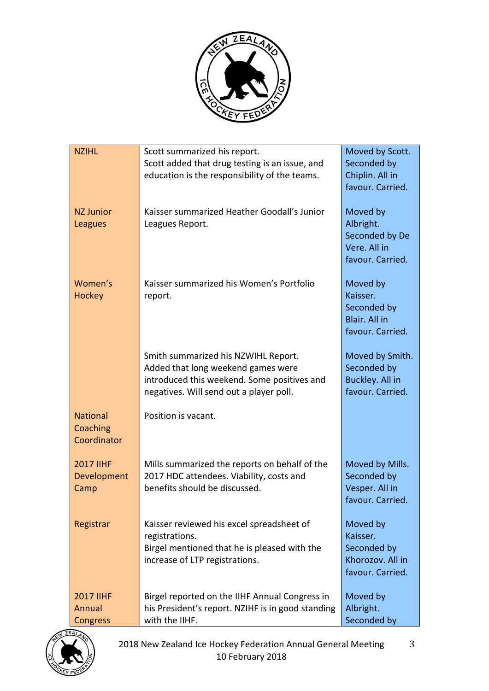

| <b>NZIHL</b>                                  | Scott summarized his report.<br>Scott added that drug testing is an issue, and<br>education is the responsibility of the teams.                                     | Moved by Scott.<br>Seconded by<br>Chiplin. All in<br>favour. Carried.       |
|-----------------------------------------------|---------------------------------------------------------------------------------------------------------------------------------------------------------------------|-----------------------------------------------------------------------------|
| <b>NZ Junior</b><br>Leagues                   | Kaisser summarized Heather Goodall's Junior<br>Leagues Report.                                                                                                      | Moved by<br>Albright.<br>Seconded by De<br>Vere. All in<br>favour. Carried. |
| Women's<br><b>Hockey</b>                      | Kaisser summarized his Women's Portfolio<br>report.                                                                                                                 | Moved by<br>Kaisser.<br>Seconded by<br>Blair. All in<br>favour. Carried.    |
|                                               | Smith summarized his NZWIHL Report.<br>Added that long weekend games were<br>introduced this weekend. Some positives and<br>negatives. Will send out a player poll. | Moved by Smith.<br>Seconded by<br>Buckley. All in<br>favour. Carried.       |
| <b>National</b><br>Coaching<br>Coordinator    | Position is vacant.                                                                                                                                                 |                                                                             |
| <b>2017 IIHF</b><br>Development<br>Camp       | Mills summarized the reports on behalf of the<br>2017 HDC attendees. Viability, costs and<br>benefits should be discussed.                                          | Moved by Mills.<br>Seconded by<br>Vesper. All in<br>favour. Carried.        |
| Registrar                                     | Kaisser reviewed his excel spreadsheet of<br>registrations.<br>Birgel mentioned that he is pleased with the<br>increase of LTP registrations.                       | Moved by<br>Kaisser.<br>Seconded by<br>Khorozov. All in<br>favour. Carried. |
| <b>2017 IIHF</b><br>Annual<br><b>Congress</b> | Birgel reported on the IIHF Annual Congress in<br>his President's report. NZIHF is in good standing<br>with the IIHF.                                               | Moved by<br>Albright.<br>Seconded by                                        |

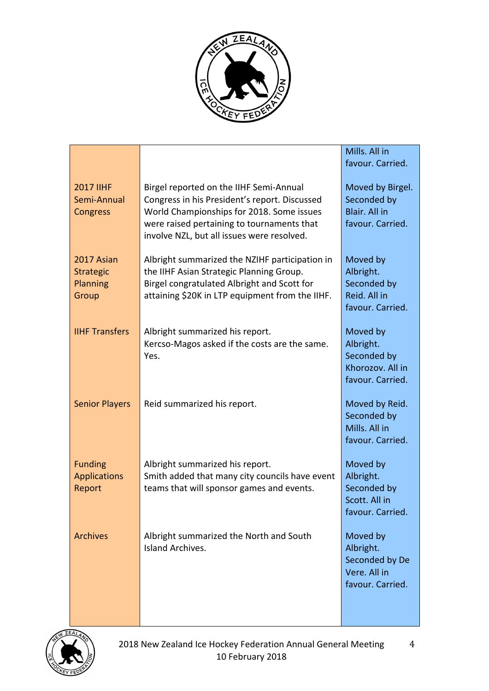

|                                                     |                                                                                                                                                                                                                                   | Mills. All in<br>favour. Carried.                                            |
|-----------------------------------------------------|-----------------------------------------------------------------------------------------------------------------------------------------------------------------------------------------------------------------------------------|------------------------------------------------------------------------------|
| <b>2017 IIHF</b><br>Semi-Annual<br>Congress         | Birgel reported on the IIHF Semi-Annual<br>Congress in his President's report. Discussed<br>World Championships for 2018. Some issues<br>were raised pertaining to tournaments that<br>involve NZL, but all issues were resolved. | Moved by Birgel.<br>Seconded by<br>Blair. All in<br>favour. Carried.         |
| 2017 Asian<br><b>Strategic</b><br>Planning<br>Group | Albright summarized the NZIHF participation in<br>the IIHF Asian Strategic Planning Group.<br>Birgel congratulated Albright and Scott for<br>attaining \$20K in LTP equipment from the IIHF.                                      | Moved by<br>Albright.<br>Seconded by<br>Reid. All in<br>favour. Carried.     |
| <b>IIHF Transfers</b>                               | Albright summarized his report.<br>Kercso-Magos asked if the costs are the same.<br>Yes.                                                                                                                                          | Moved by<br>Albright.<br>Seconded by<br>Khorozov. All in<br>favour. Carried. |
| <b>Senior Players</b>                               | Reid summarized his report.                                                                                                                                                                                                       | Moved by Reid.<br>Seconded by<br>Mills. All in<br>favour. Carried.           |
| <b>Funding</b><br><b>Applications</b><br>Report     | Albright summarized his report.<br>Smith added that many city councils have event<br>teams that will sponsor games and events.                                                                                                    | Moved by<br>Albright.<br>Seconded by<br>Scott. All in<br>favour. Carried.    |
| <b>Archives</b>                                     | Albright summarized the North and South<br>Island Archives.                                                                                                                                                                       | Moved by<br>Albright.<br>Seconded by De<br>Vere. All in<br>favour. Carried.  |

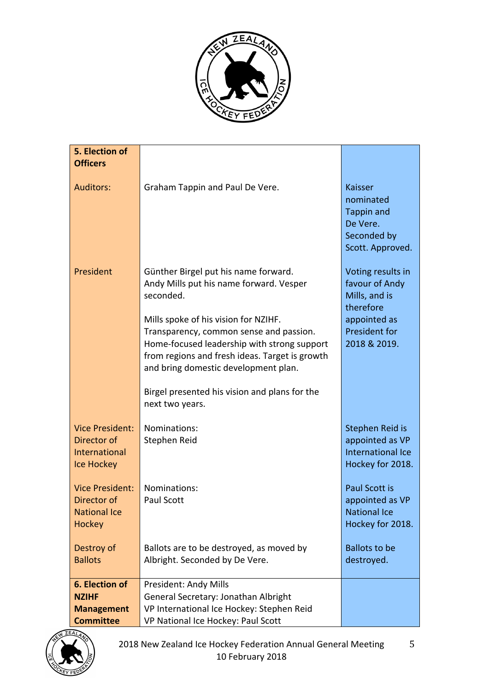

| 5. Election of<br><b>Officers</b> |                                                                                        |                                             |
|-----------------------------------|----------------------------------------------------------------------------------------|---------------------------------------------|
|                                   |                                                                                        |                                             |
| <b>Auditors:</b>                  | Graham Tappin and Paul De Vere.                                                        | <b>Kaisser</b><br>nominated                 |
|                                   |                                                                                        | <b>Tappin and</b>                           |
|                                   |                                                                                        | De Vere.                                    |
|                                   |                                                                                        | Seconded by<br>Scott. Approved.             |
| President                         | Günther Birgel put his name forward.                                                   | Voting results in                           |
|                                   | Andy Mills put his name forward. Vesper                                                | favour of Andy                              |
|                                   | seconded.                                                                              | Mills, and is<br>therefore                  |
|                                   | Mills spoke of his vision for NZIHF.                                                   | appointed as                                |
|                                   | Transparency, common sense and passion.<br>Home-focused leadership with strong support | President for<br>2018 & 2019.               |
|                                   | from regions and fresh ideas. Target is growth                                         |                                             |
|                                   | and bring domestic development plan.                                                   |                                             |
|                                   | Birgel presented his vision and plans for the                                          |                                             |
|                                   | next two years.                                                                        |                                             |
| <b>Vice President:</b>            | Nominations:                                                                           | Stephen Reid is                             |
| Director of<br>International      | Stephen Reid                                                                           | appointed as VP<br><b>International Ice</b> |
| Ice Hockey                        |                                                                                        | Hockey for 2018.                            |
| <b>Vice President:</b>            | Nominations:                                                                           | Paul Scott is                               |
| Director of                       | Paul Scott                                                                             | appointed as VP                             |
| <b>National Ice</b><br>Hockey     |                                                                                        | <b>National Ice</b><br>Hockey for 2018.     |
|                                   |                                                                                        |                                             |
| Destroy of<br><b>Ballots</b>      | Ballots are to be destroyed, as moved by                                               | <b>Ballots to be</b>                        |
|                                   | Albright. Seconded by De Vere.                                                         | destroyed.                                  |
| 6. Election of                    | President: Andy Mills                                                                  |                                             |
| <b>NZIHF</b><br><b>Management</b> | General Secretary: Jonathan Albright<br>VP International Ice Hockey: Stephen Reid      |                                             |
| <b>Committee</b>                  | VP National Ice Hockey: Paul Scott                                                     |                                             |

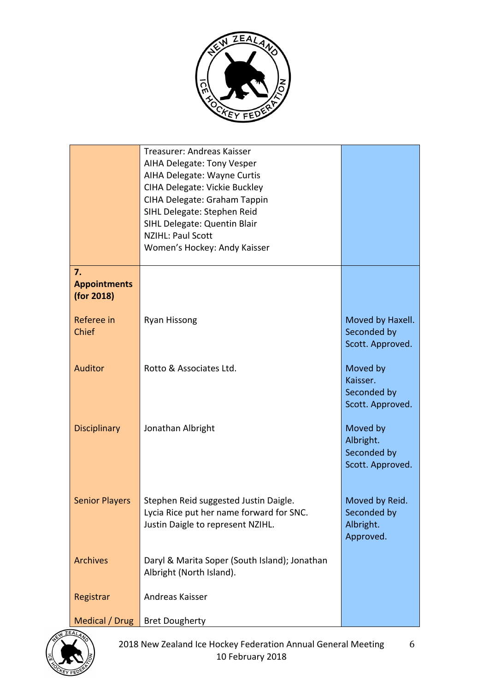

|                                         | Treasurer: Andreas Kaisser<br>AIHA Delegate: Tony Vesper<br>AIHA Delegate: Wayne Curtis<br>CIHA Delegate: Vickie Buckley<br>CIHA Delegate: Graham Tappin<br>SIHL Delegate: Stephen Reid<br>SIHL Delegate: Quentin Blair<br><b>NZIHL: Paul Scott</b><br>Women's Hockey: Andy Kaisser |                                                          |
|-----------------------------------------|-------------------------------------------------------------------------------------------------------------------------------------------------------------------------------------------------------------------------------------------------------------------------------------|----------------------------------------------------------|
| 7.<br><b>Appointments</b><br>(for 2018) |                                                                                                                                                                                                                                                                                     |                                                          |
| Referee in<br>Chief                     | <b>Ryan Hissong</b>                                                                                                                                                                                                                                                                 | Moved by Haxell.<br>Seconded by<br>Scott. Approved.      |
| <b>Auditor</b>                          | Rotto & Associates Ltd.                                                                                                                                                                                                                                                             | Moved by<br>Kaisser.<br>Seconded by<br>Scott. Approved.  |
| <b>Disciplinary</b>                     | Jonathan Albright                                                                                                                                                                                                                                                                   | Moved by<br>Albright.<br>Seconded by<br>Scott. Approved. |
| <b>Senior Players</b>                   | Stephen Reid suggested Justin Daigle.<br>Lycia Rice put her name forward for SNC.<br>Justin Daigle to represent NZIHL.                                                                                                                                                              | Moved by Reid.<br>Seconded by<br>Albright.<br>Approved.  |
| <b>Archives</b>                         | Daryl & Marita Soper (South Island); Jonathan<br>Albright (North Island).                                                                                                                                                                                                           |                                                          |
| Registrar                               | Andreas Kaisser                                                                                                                                                                                                                                                                     |                                                          |
| Medical / Drug                          | <b>Bret Dougherty</b>                                                                                                                                                                                                                                                               |                                                          |

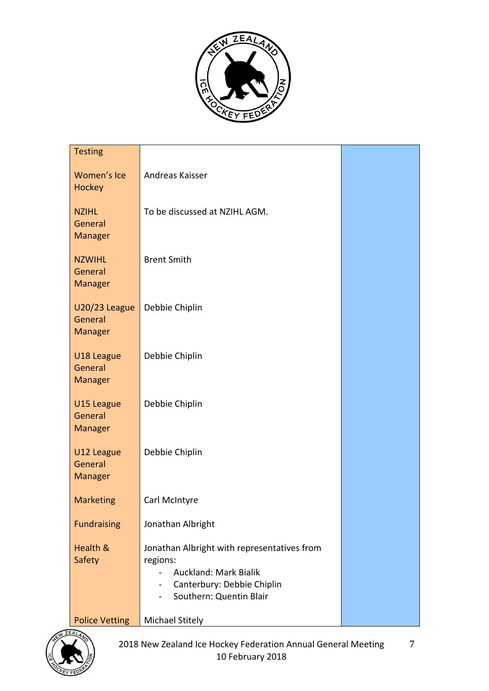

| <b>Testing</b>                             |                                                                                                                                                        |  |
|--------------------------------------------|--------------------------------------------------------------------------------------------------------------------------------------------------------|--|
| Women's Ice<br>Hockey                      | Andreas Kaisser                                                                                                                                        |  |
| <b>NZIHL</b><br>General<br><b>Manager</b>  | To be discussed at NZIHL AGM.                                                                                                                          |  |
| <b>NZWIHL</b><br>General<br><b>Manager</b> | <b>Brent Smith</b>                                                                                                                                     |  |
| U20/23 League<br>General<br><b>Manager</b> | Debbie Chiplin                                                                                                                                         |  |
| U18 League<br>General<br>Manager           | Debbie Chiplin                                                                                                                                         |  |
| U15 League<br>General<br><b>Manager</b>    | Debbie Chiplin                                                                                                                                         |  |
| U12 League<br>General<br>Manager           | Debbie Chiplin                                                                                                                                         |  |
| <b>Marketing</b>                           | Carl McIntyre                                                                                                                                          |  |
| <b>Fundraising</b>                         | Jonathan Albright                                                                                                                                      |  |
| Health &<br>Safety                         | Jonathan Albright with representatives from<br>regions:<br><b>Auckland: Mark Bialik</b><br>Canterbury: Debbie Chiplin<br>Ξ.<br>Southern: Quentin Blair |  |
| <b>Police Vetting</b>                      | <b>Michael Stitely</b>                                                                                                                                 |  |

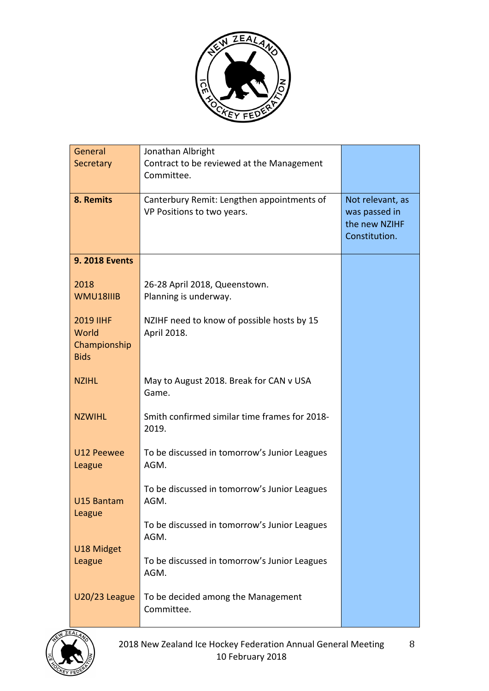

| General                     | Jonathan Albright                                                        |                                                                     |
|-----------------------------|--------------------------------------------------------------------------|---------------------------------------------------------------------|
| Secretary                   | Contract to be reviewed at the Management                                |                                                                     |
|                             | Committee.                                                               |                                                                     |
| 8. Remits                   | Canterbury Remit: Lengthen appointments of<br>VP Positions to two years. | Not relevant, as<br>was passed in<br>the new NZIHF<br>Constitution. |
| <b>9. 2018 Events</b>       |                                                                          |                                                                     |
| 2018<br>WMU18IIIB           | 26-28 April 2018, Queenstown.<br>Planning is underway.                   |                                                                     |
| <b>2019 IIHF</b><br>World   | NZIHF need to know of possible hosts by 15<br>April 2018.                |                                                                     |
| Championship<br><b>Bids</b> |                                                                          |                                                                     |
| <b>NZIHL</b>                | May to August 2018. Break for CAN v USA<br>Game.                         |                                                                     |
| <b>NZWIHL</b>               | Smith confirmed similar time frames for 2018-<br>2019.                   |                                                                     |
| U12 Peewee<br>League        | To be discussed in tomorrow's Junior Leagues<br>AGM.                     |                                                                     |
| U15 Bantam                  | To be discussed in tomorrow's Junior Leagues<br>AGM.                     |                                                                     |
| League                      | To be discussed in tomorrow's Junior Leagues<br>AGM.                     |                                                                     |
| U18 Midget<br>League        | To be discussed in tomorrow's Junior Leagues<br>AGM.                     |                                                                     |
| U20/23 League               | To be decided among the Management<br>Committee.                         |                                                                     |

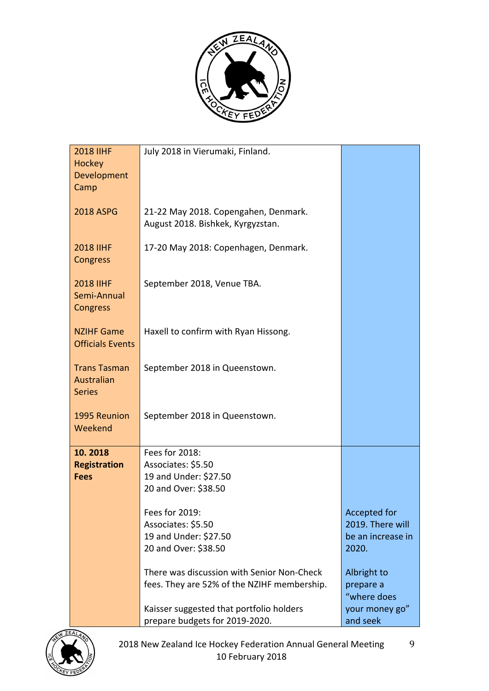

| <b>2018 IIHF</b><br><b>Hockey</b><br>Development<br>Camp | July 2018 in Vierumaki, Finland.                                                                                                                                                                                                                                                                                        |                                                                                                                             |
|----------------------------------------------------------|-------------------------------------------------------------------------------------------------------------------------------------------------------------------------------------------------------------------------------------------------------------------------------------------------------------------------|-----------------------------------------------------------------------------------------------------------------------------|
| <b>2018 ASPG</b>                                         | 21-22 May 2018. Copengahen, Denmark.<br>August 2018. Bishkek, Kyrgyzstan.                                                                                                                                                                                                                                               |                                                                                                                             |
| <b>2018 IIHF</b><br>Congress                             | 17-20 May 2018: Copenhagen, Denmark.                                                                                                                                                                                                                                                                                    |                                                                                                                             |
| <b>2018 IIHF</b><br>Semi-Annual<br>Congress              | September 2018, Venue TBA.                                                                                                                                                                                                                                                                                              |                                                                                                                             |
| <b>NZIHF Game</b><br><b>Officials Events</b>             | Haxell to confirm with Ryan Hissong.                                                                                                                                                                                                                                                                                    |                                                                                                                             |
| <b>Trans Tasman</b><br>Australian<br><b>Series</b>       | September 2018 in Queenstown.                                                                                                                                                                                                                                                                                           |                                                                                                                             |
| 1995 Reunion<br>Weekend                                  | September 2018 in Queenstown.                                                                                                                                                                                                                                                                                           |                                                                                                                             |
| 10.2018<br><b>Registration</b><br><b>Fees</b>            | Fees for 2018:<br>Associates: \$5.50<br>19 and Under: \$27.50<br>20 and Over: \$38.50<br>Fees for 2019:<br>Associates: \$5.50<br>19 and Under: \$27.50<br>20 and Over: \$38.50<br>There was discussion with Senior Non-Check<br>fees. They are 52% of the NZIHF membership.<br>Kaisser suggested that portfolio holders | Accepted for<br>2019. There will<br>be an increase in<br>2020.<br>Albright to<br>prepare a<br>"where does<br>your money go" |
|                                                          | prepare budgets for 2019-2020.                                                                                                                                                                                                                                                                                          | and seek                                                                                                                    |

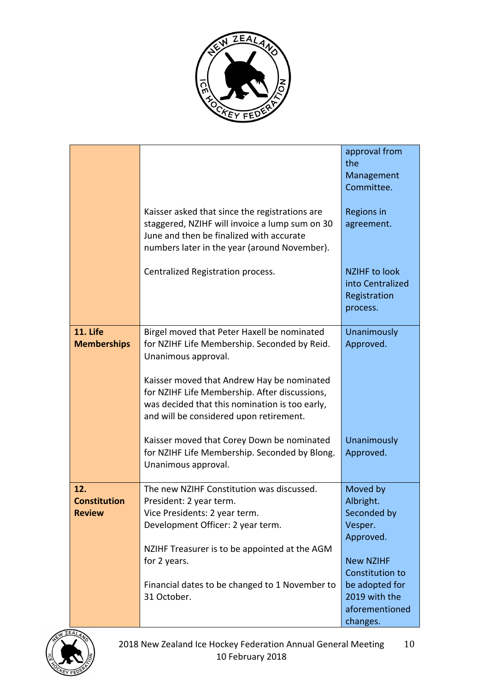

|                     |                                                                                             | approval from<br>the                                     |
|---------------------|---------------------------------------------------------------------------------------------|----------------------------------------------------------|
|                     |                                                                                             | Management<br>Committee.                                 |
|                     |                                                                                             |                                                          |
|                     | Kaisser asked that since the registrations are                                              | Regions in                                               |
|                     | staggered, NZIHF will invoice a lump sum on 30<br>June and then be finalized with accurate  | agreement.                                               |
|                     | numbers later in the year (around November).                                                |                                                          |
|                     | Centralized Registration process.                                                           | <b>NZIHF to look</b><br>into Centralized<br>Registration |
|                     |                                                                                             | process.                                                 |
| 11. Life            | Birgel moved that Peter Haxell be nominated                                                 | Unanimously                                              |
| <b>Memberships</b>  | for NZIHF Life Membership. Seconded by Reid.<br>Unanimous approval.                         | Approved.                                                |
|                     |                                                                                             |                                                          |
|                     | Kaisser moved that Andrew Hay be nominated<br>for NZIHF Life Membership. After discussions, |                                                          |
|                     | was decided that this nomination is too early,<br>and will be considered upon retirement.   |                                                          |
|                     | Kaisser moved that Corey Down be nominated                                                  | Unanimously                                              |
|                     | for NZIHF Life Membership. Seconded by Blong.<br>Unanimous approval.                        | Approved.                                                |
| 12.                 | The new NZIHF Constitution was discussed.                                                   | Moved by                                                 |
| <b>Constitution</b> | President: 2 year term.                                                                     | Albright.                                                |
| <b>Review</b>       | Vice Presidents: 2 year term.                                                               | Seconded by                                              |
|                     | Development Officer: 2 year term.                                                           | Vesper.                                                  |
|                     |                                                                                             | Approved.                                                |
|                     | NZIHF Treasurer is to be appointed at the AGM<br>for 2 years.                               | <b>New NZIHF</b>                                         |
|                     |                                                                                             | <b>Constitution to</b>                                   |
|                     | Financial dates to be changed to 1 November to                                              | be adopted for                                           |
|                     | 31 October.                                                                                 | 2019 with the                                            |
|                     |                                                                                             | aforementioned                                           |
|                     |                                                                                             | changes.                                                 |

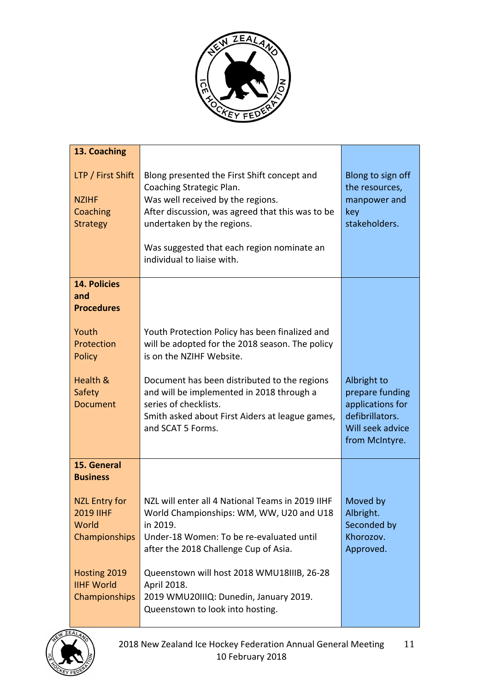

| 13. Coaching                                                              |                                                                                                                                                                                                                                                                            |                                                                                                             |
|---------------------------------------------------------------------------|----------------------------------------------------------------------------------------------------------------------------------------------------------------------------------------------------------------------------------------------------------------------------|-------------------------------------------------------------------------------------------------------------|
| LTP / First Shift<br><b>NZIHF</b><br>Coaching<br><b>Strategy</b>          | Blong presented the First Shift concept and<br>Coaching Strategic Plan.<br>Was well received by the regions.<br>After discussion, was agreed that this was to be<br>undertaken by the regions.<br>Was suggested that each region nominate an<br>individual to liaise with. | Blong to sign off<br>the resources,<br>manpower and<br>key<br>stakeholders.                                 |
| <b>14. Policies</b><br>and<br><b>Procedures</b>                           |                                                                                                                                                                                                                                                                            |                                                                                                             |
| Youth<br>Protection<br><b>Policy</b>                                      | Youth Protection Policy has been finalized and<br>will be adopted for the 2018 season. The policy<br>is on the NZIHF Website.                                                                                                                                              |                                                                                                             |
| Health &<br>Safety<br><b>Document</b>                                     | Document has been distributed to the regions<br>and will be implemented in 2018 through a<br>series of checklists.<br>Smith asked about First Aiders at league games,<br>and SCAT 5 Forms.                                                                                 | Albright to<br>prepare funding<br>applications for<br>defibrillators.<br>Will seek advice<br>from McIntyre. |
| 15. General<br><b>Business</b>                                            |                                                                                                                                                                                                                                                                            |                                                                                                             |
| <b>NZL Entry for</b><br><b>2019 IIHF</b><br>World<br><b>Championships</b> | NZL will enter all 4 National Teams in 2019 IIHF<br>World Championships: WM, WW, U20 and U18<br>in 2019.<br>Under-18 Women: To be re-evaluated until<br>after the 2018 Challenge Cup of Asia.                                                                              | Moved by<br>Albright.<br>Seconded by<br>Khorozov.<br>Approved.                                              |
| Hosting 2019<br><b>IIHF World</b><br>Championships                        | Queenstown will host 2018 WMU18IIIB, 26-28<br>April 2018.<br>2019 WMU20IIIQ: Dunedin, January 2019.<br>Queenstown to look into hosting.                                                                                                                                    |                                                                                                             |

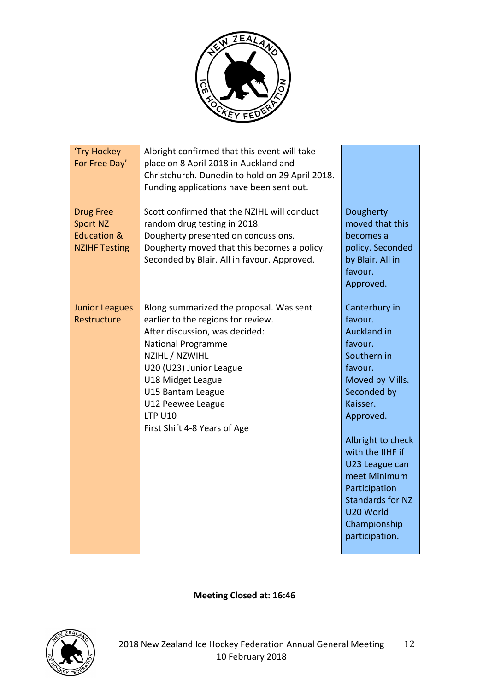

| 'Try Hockey<br>For Free Day'                                                          | Albright confirmed that this event will take<br>place on 8 April 2018 in Auckland and<br>Christchurch. Dunedin to hold on 29 April 2018.<br>Funding applications have been sent out.                                                                                                                       |                                                                                                                                                                                                                                                                                                                      |
|---------------------------------------------------------------------------------------|------------------------------------------------------------------------------------------------------------------------------------------------------------------------------------------------------------------------------------------------------------------------------------------------------------|----------------------------------------------------------------------------------------------------------------------------------------------------------------------------------------------------------------------------------------------------------------------------------------------------------------------|
| <b>Drug Free</b><br><b>Sport NZ</b><br><b>Education &amp;</b><br><b>NZIHF Testing</b> | Scott confirmed that the NZIHL will conduct<br>random drug testing in 2018.<br>Dougherty presented on concussions.<br>Dougherty moved that this becomes a policy.<br>Seconded by Blair. All in favour. Approved.                                                                                           | Dougherty<br>moved that this<br>becomes a<br>policy. Seconded<br>by Blair. All in<br>favour.<br>Approved.                                                                                                                                                                                                            |
| <b>Junior Leagues</b><br>Restructure                                                  | Blong summarized the proposal. Was sent<br>earlier to the regions for review.<br>After discussion, was decided:<br><b>National Programme</b><br>NZIHL / NZWIHL<br>U20 (U23) Junior League<br>U18 Midget League<br>U15 Bantam League<br>U12 Peewee League<br><b>LTP U10</b><br>First Shift 4-8 Years of Age | Canterbury in<br>favour.<br><b>Auckland in</b><br>favour.<br>Southern in<br>favour.<br>Moved by Mills.<br>Seconded by<br>Kaisser.<br>Approved.<br>Albright to check<br>with the IIHF if<br>U23 League can<br>meet Minimum<br>Participation<br><b>Standards for NZ</b><br>U20 World<br>Championship<br>participation. |

**Meeting Closed at: 16:46**